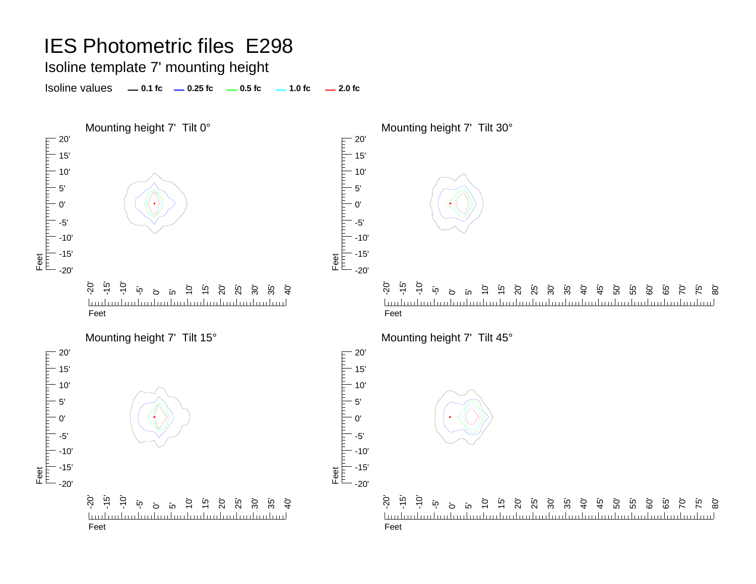Isoline template 7' mounting height

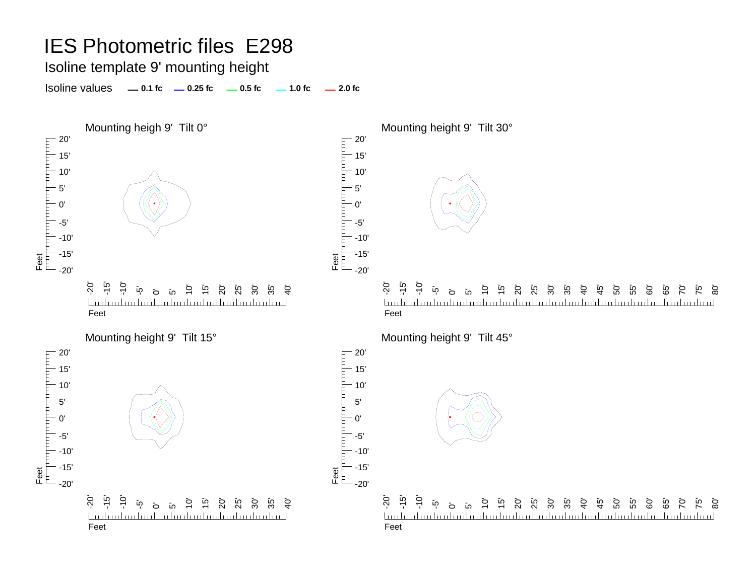Isoline template 9' mounting height

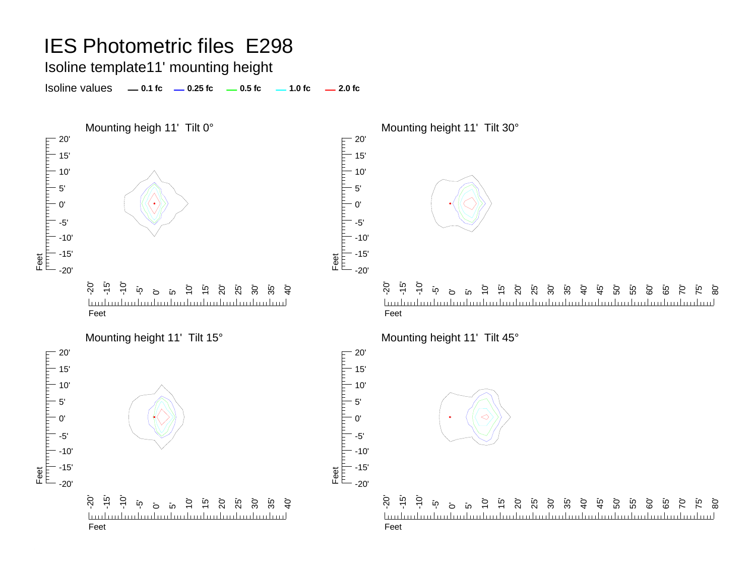#### Isoline template11' mounting height

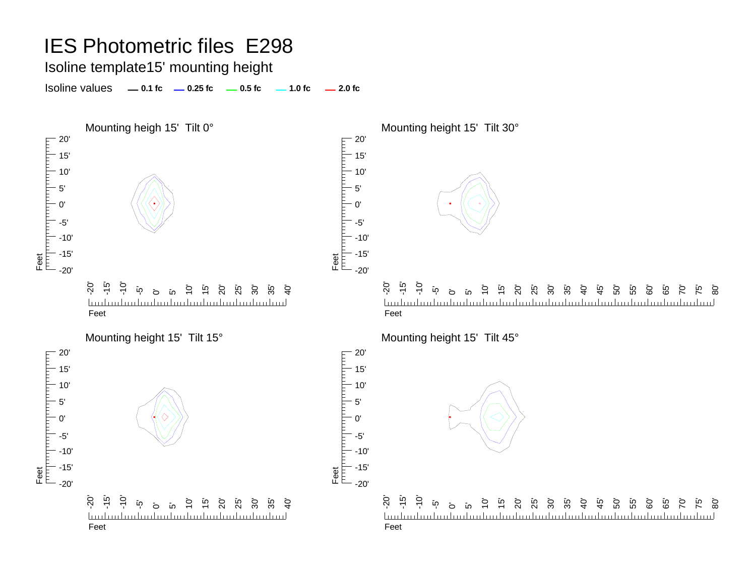#### Isoline template15' mounting height

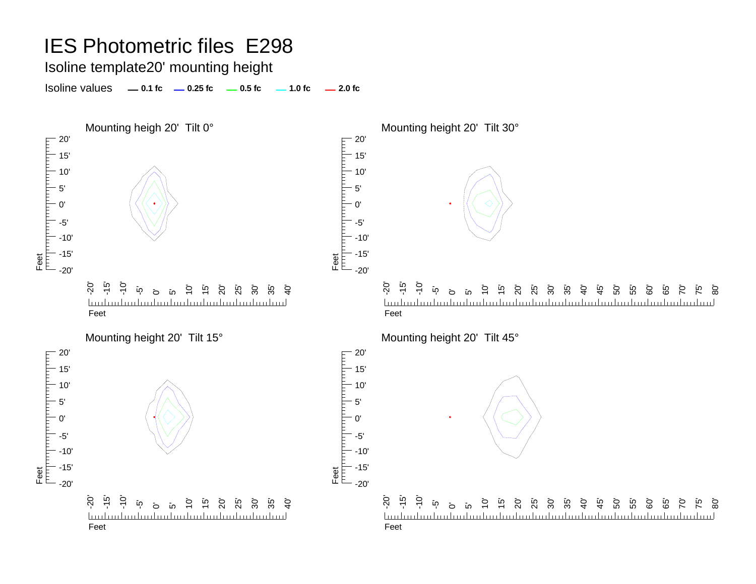#### Isoline template20' mounting height

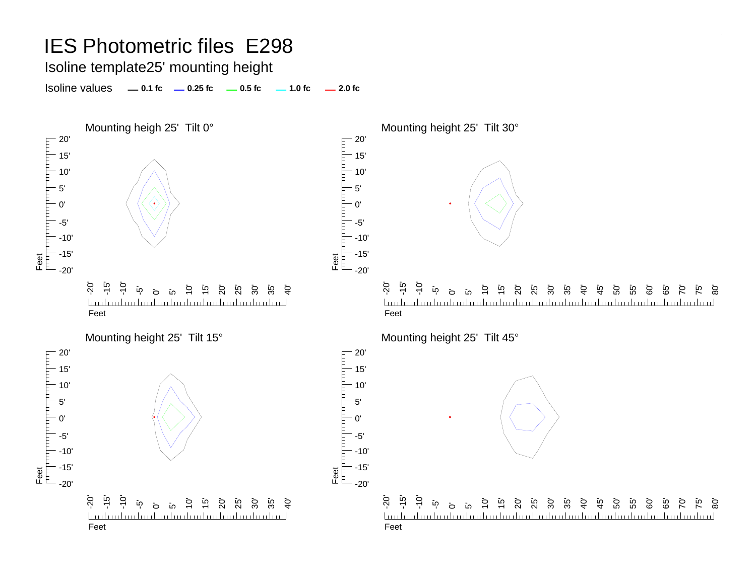#### Isoline template25' mounting height